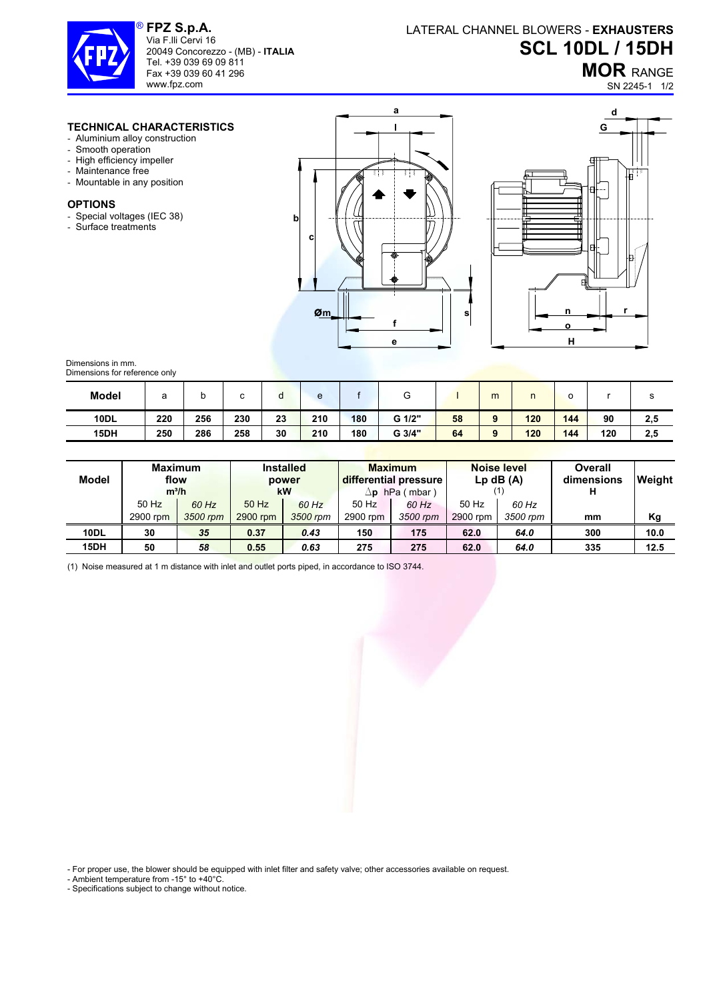

**FPZ S.p.A.**  Via F.lli Cervi 16 20049 Concorezzo - (MB) - **ITALIA** Tel. +39 039 69 09 811 Fax +39 039 60 41 296 www.fpz.com

## LATERAL CHANNEL BLOWERS - **EXHAUSTERS SCL 10DL / 15DH**

**MOR** RANGE

SN 2245-1 1/2

## **TECHNICAL CHARACTERISTICS**

- Aluminium alloy construction
- Smooth operation
- High efficiency impeller
- Maintenance free
- Mountable in any position

## **OPTIONS**

- Special voltages (IEC 38)
- Surface treatments





Dimensions in mm. Dimensions for reference only

| <b>Model</b> | а   | ັ   |     | u  | e   |     | U      |    | m        |     | o   |     | o   |
|--------------|-----|-----|-----|----|-----|-----|--------|----|----------|-----|-----|-----|-----|
| <b>10DL</b>  | 220 | 256 | 230 | 23 | 210 | 180 | G 1/2" | 58 | $\Omega$ | 120 | 144 | 90  | 2,5 |
| 15DH         | 250 | 286 | 258 | 30 | 210 | 180 | G 3/4" | 64 |          | 120 | 144 | 120 | 2,5 |

| Model       | <b>Maximum</b><br>flow<br>$m^3/h$ |          | <b>Installed</b><br>power<br>kW |          |          | <b>Maximum</b><br>differential pressure<br>$\Delta$ p hPa (mbar) | <b>Noise level</b><br>$Lp$ dB $(A)$ |          | Overall<br>dimensions | <b>Weight</b> |
|-------------|-----------------------------------|----------|---------------------------------|----------|----------|------------------------------------------------------------------|-------------------------------------|----------|-----------------------|---------------|
|             | $50$ Hz                           | 60 Hz    | 50 Hz                           | 60 Hz    | 50 Hz    | 60 Hz                                                            | 50 Hz                               | 60 Hz    |                       |               |
|             | 2900 rpm                          | 3500 rpm | 2900 rpm                        | 3500 rpm | 2900 rpm | 3500 rpm                                                         | 2900 rpm                            | 3500 rpm | mm                    | Kg            |
| <b>10DL</b> | 30                                | 35       | 0.37                            | 0.43     | 150      | 175                                                              | 62.0                                | 64.0     | 300                   | 10.0          |
| 15DH        | 50                                | 58       | 0.55                            | 0.63     | 275      | 275                                                              | 62.0                                | 64.0     | 335                   | 12.5          |

(1) Noise measured at 1 m distance with inlet and outlet ports piped, in accordance to ISO 3744.

- For proper use, the blower should be equipped with inlet filter and safety valve; other accessories available on request.

- Ambient temperature from -15° to +40°C.

- Specifications subject to change without notice.